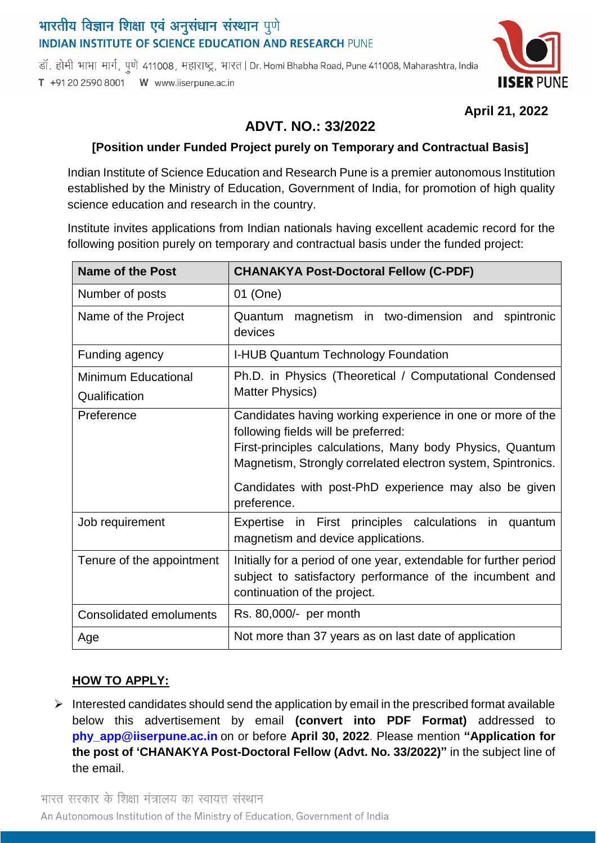# भारतीय विज्ञान शिक्षा एवं अनुसंधान संस्थान पुणे **INDIAN INSTITUTE OF SCIENCE EDUCATION AND RESEARCH PUNE**

डॉ. होमी भाभा मार्ग, पुणे 411008, महाराष्ट्र, भारत | Dr. Homi Bhabha Road, Pune 411008, Maharashtra, India T +91 20 2590 8001 W www.iiserpune.ac.in



## **April 21, 2022**

# **ADVT. NO.: 33/2022**

## **[Position under Funded Project purely on Temporary and Contractual Basis]**

Indian Institute of Science Education and Research Pune is a premier autonomous Institution established by the Ministry of Education, Government of India, for promotion of high quality science education and research in the country.

Institute invites applications from Indian nationals having excellent academic record for the following position purely on temporary and contractual basis under the funded project:

| Name of the Post                            | <b>CHANAKYA Post-Doctoral Fellow (C-PDF)</b>                                                                                                                                                                                                                                                           |
|---------------------------------------------|--------------------------------------------------------------------------------------------------------------------------------------------------------------------------------------------------------------------------------------------------------------------------------------------------------|
| Number of posts                             | 01 (One)                                                                                                                                                                                                                                                                                               |
| Name of the Project                         | Quantum magnetism in two-dimension and<br>spintronic<br>devices                                                                                                                                                                                                                                        |
| Funding agency                              | I-HUB Quantum Technology Foundation                                                                                                                                                                                                                                                                    |
| <b>Minimum Educational</b><br>Qualification | Ph.D. in Physics (Theoretical / Computational Condensed<br><b>Matter Physics)</b>                                                                                                                                                                                                                      |
| Preference                                  | Candidates having working experience in one or more of the<br>following fields will be preferred:<br>First-principles calculations, Many body Physics, Quantum<br>Magnetism, Strongly correlated electron system, Spintronics.<br>Candidates with post-PhD experience may also be given<br>preference. |
| Job requirement                             | Expertise in First principles calculations in<br>quantum<br>magnetism and device applications.                                                                                                                                                                                                         |
| Tenure of the appointment                   | Initially for a period of one year, extendable for further period<br>subject to satisfactory performance of the incumbent and<br>continuation of the project.                                                                                                                                          |
| <b>Consolidated emoluments</b>              | Rs. 80,000/- per month                                                                                                                                                                                                                                                                                 |
| Age                                         | Not more than 37 years as on last date of application                                                                                                                                                                                                                                                  |

#### **HOW TO APPLY:**

 $\triangleright$  Interested candidates should send the application by email in the prescribed format available below this advertisement by email **(convert into PDF Format)** addressed to **[phy\\_app@iiserpune.ac.in](mailto:phy_app@iiserpune.ac.in)** on or before **April 30, 2022**. Please mention **"Application for the post of 'CHANAKYA Post-Doctoral Fellow (Advt. No. 33/2022)"** in the subject line of the email.